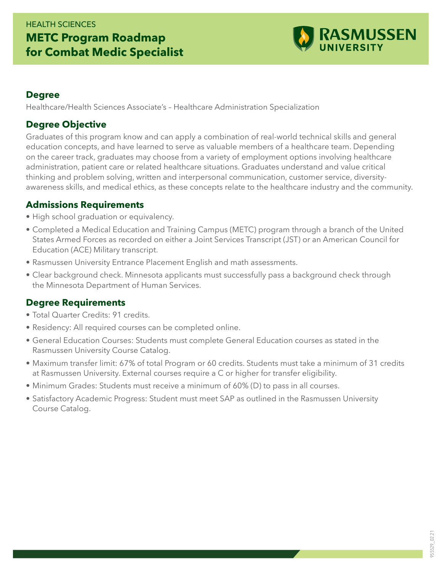# HEALTH SCIENCES **METC Program Roadmap for Combat Medic Specialist**



#### **Degree**

Healthcare/Health Sciences Associate's – Healthcare Administration Specialization

### **Degree Objective**

Graduates of this program know and can apply a combination of real-world technical skills and general education concepts, and have learned to serve as valuable members of a healthcare team. Depending on the career track, graduates may choose from a variety of employment options involving healthcare administration, patient care or related healthcare situations. Graduates understand and value critical thinking and problem solving, written and interpersonal communication, customer service, diversityawareness skills, and medical ethics, as these concepts relate to the healthcare industry and the community.

#### **Admissions Requirements**

- High school graduation or equivalency.
- Completed a Medical Education and Training Campus (METC) program through a branch of the United States Armed Forces as recorded on either a Joint Services Transcript (JST) or an American Council for Education (ACE) Military transcript.
- Rasmussen University Entrance Placement English and math assessments.
- Clear background check. Minnesota applicants must successfully pass a background check through the Minnesota Department of Human Services.

## **Degree Requirements**

- Total Quarter Credits: 91 credits.
- Residency: All required courses can be completed online.
- General Education Courses: Students must complete General Education courses as stated in the Rasmussen University Course Catalog.
- Maximum transfer limit: 67% of total Program or 60 credits. Students must take a minimum of 31 credits at Rasmussen University. External courses require a C or higher for transfer eligibility.
- Minimum Grades: Students must receive a minimum of 60% (D) to pass in all courses.
- Satisfactory Academic Progress: Student must meet SAP as outlined in the Rasmussen University Course Catalog.